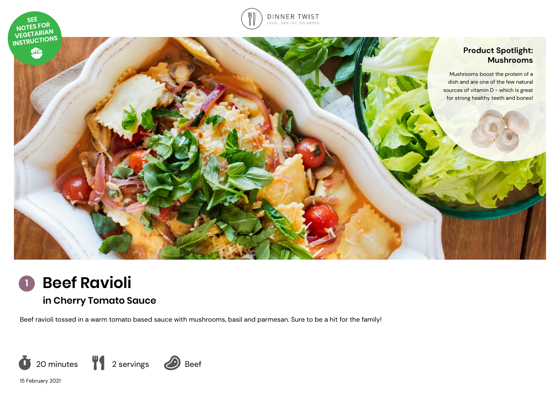



# **in Cherry Tomato Sauce**

Beef ravioli tossed in a warm tomato based sauce with mushrooms, basil and parmesan. Sure to be a hit for the family!



15 February 2021